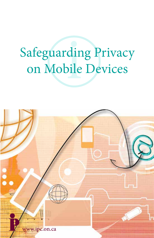# dir<br>bile Safeguarding Privacy on Mobile Devices

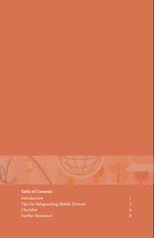

# **Table of Contents Introduction** 1 **Introduction** 1 **1** Tips for Safeguarding Mobile Devices 3 Checklist 4 Further Resources 8 and 2008 and 2008 and 2008 and 2008 and 2008 and 2008 and 2008 and 2008 and 2008 and 2008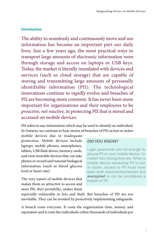# **Introduction**

The ability to seamlessly and continuously move and use information has become an important part our daily lives. Just a few years ago, the most practical ways to transport large amounts of electronic information were through storage and access on laptops or USB keys. Today, the market is literally inundated with devices and services (such as cloud storage) that are capable of storing and transmitting large amounts of personally identifiable information (PII). The technological innovations continue to rapidly evolve and breaches of PII are becoming more common. It has never been more important for organizations and their employees to be *proactive, not reactive,* in protecting PII that is stored and accessed on mobile devices.

PII refers to any information which may be used to identify an individual. In Ontario, we continue to hear stories of breaches of PII on lost or stolen

mobile devices due to inadequate protection. Mobile devices include laptops, mobile phones, smartphones, tablets, USB flash drives, memory cards, and even wearable devices that can take photos or record and transmit biological information (such as blood glucose level or heart rate).

The very nature of mobile devices that makes them so attractive to access and store PII, *their portability*, makes them

# **DID YOU KNOW?**

Login passwords are not enough to secure PII on your mobile device, no matter how strong they are. When a mobile device containing PII is lost or stolen, access to PII must have been both password-protected and **encrypted** to not be considered a breach of PII.

especially vulnerable to loss and theft. But breaches of PII are not inevitable. They can be avoided by proactively implementing safeguards.

A breach costs everyone. It costs the organization time, money, and reputation and it costs the individuals (often thousands of individuals per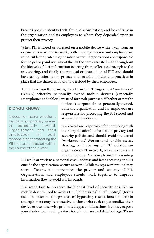breach) possible identity theft, fraud, discrimination, and loss of trust in the organization and its employees to whom they depended upon to protect their privacy.

When PII is stored or accessed on a mobile device while away from an organization's secure network, both the organization and employee are responsible for protecting the information. Organizations are responsible for the privacy and security of the PII they are entrusted with throughout the lifecycle of that information (starting from collection, through to the use, sharing, and finally the removal or destruction of PII) and should have strong information privacy and security policies and practices in place that are shared with and understood by their employees.

There is a rapidly growing trend toward "Bring-Your-Own-Device" (BYOD) whereby personally owned mobile devices (especially smartphones and tablets) are used for work purposes. Whether or not the

# **DID YOU KNOW?**

It does not matter whether a device is corporately owned or personally owned. Organizations and their employees are both responsible for protecting the PII they are entrusted with in the course of their work.

device is corporately or personally owned, both the organization and its employees are responsible for protecting the PII stored and accessed on the device.

Employees are responsible for complying with their organization's information privacy and security policies and should avoid the use of "workarounds." Workarounds enable access, sharing, and storing of PII outside an organization's IT network, which exposes PII to vulnerability. An example includes sending

PII while at work to a personal email address and later accessing the PII outside the organization's secure network. While using a workaround may seem efficient, it compromises the privacy and security of PII. Organizations and employees should work together to improve information flow to avoid workarounds.

It is important to preserve the highest level of security possible on mobile devices used to access PII. "Jailbreaking" and "Rooting" (terms used to describe the process of bypassing restrictions on certain smartphones) may be attractive to those who seek to personalize their device or use otherwise prohibited apps and functions, but they expose your device to a much greater risk of malware and data leakage. Those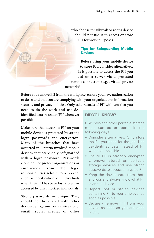who choose to jailbreak or root a device should not use it to access or store PII for work purposes.

## **Tips for Safeguarding Mobile Devices**

Before using your mobile device to store PII, consider alternatives. Is it possible to access the PII you need on a server via a protected remote connection (e.g. a virtual private network)?

Before you remove PII from the workplace, ensure you have authorization to do so and that you are complying with your organization's information security and privacy policies. Only take records of PII with you that you

need to do the work and use deidentified data instead of PII whenever possible.

Make sure that access to PII on your mobile device is protected by strong login passwords and encryption. Many of the breaches that have occurred in Ontario involved mobile devices that were only safeguarded with a login password. Passwords alone do not protect organizations or employees from the legal responsibilities related to a breach, such as notification of individuals when their PII has been lost, stolen, or accessed by unauthorized individuals.

Strong passwords are unique. They should not be shared with other devices, programs, or services (e.g. email, social media, or other

# **DID YOU KNOW?**

USB keys and other portable storage media can be protected in the following ways:

- Consider alternatives. Only store the PII you need for the job. Use de-identified data instead of PII whenever possible.
- Ensure PII is strongly encrypted whenever stored on portable storage devices and use strong passwords to access encrypted PII.
- Keep the device safe from theft and loss and always know what PII is on the device.
- Report lost or stolen devices containing PII to your employer as soon as possible.
- Securely remove PII from your device as soon as you are done with it.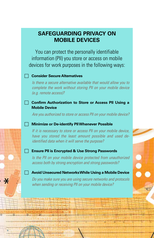# **SAFEGUARDING PRIVACY ON MOBILE DEVICES**

You can protect the personally identifiable information (PII) you store or access on mobile devices for work purposes in the following ways:

# **Consider Secure Alternatives**

4

*Is there a secure alternative available that would allow you to complete the work without storing PII on your mobile device (e.g. remote access)?*

# **Confirm Authorization to Store or Access PII Using a Mobile Device**

*Are you authorized to store or access PII on your mobile device?*

#### **Minimize or De-identify PII Whenever Possible**

*If it is necessary to store or access PII on your mobile device, have you stored the least amount possible and used deidentified data when it will serve the purpose?*

#### **Ensure PII is Encrypted & Use Strong Passwords**

*Is the PII on your mobile device protected from unauthorized access both by strong encryption and strong passwords?*

#### **Avoid Unsecured Networks While Using a Mobile Device**

*Do you make sure you are using secure networks and protocols when sending or receiving PII on your mobile device?*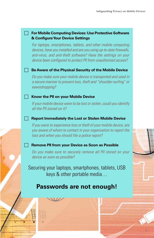# **For Mobile Computing Devices: Use Protective Software & Configure Your Device Settings**

*For laptops, smartphones, tablets, and other mobile computing devices, have you installed and are you using up-to-date firewalls, anti-virus, and anti-theft software? Have the settings on your device been configured to protect PII from unauthorized access?*

# **Be Aware of the Physical Security of the Mobile Device**

*Do you make sure your mobile device is transported and used in a secure manner to prevent loss, theft and "shoulder-surfing" or eavesdropping?*

## **Know the PII on your Mobile Device**

*If your mobile device were to be lost or stolen, could you identify all the PII stored on it?*

# **Report Immediately the Lost or Stolen Mobile Device**

*If you were to experience loss or theft of your mobile device, are you aware of whom to contact in your organization to report the loss and when you should file a police report?*

# **Remove PII from your Device as Soon as Possible**

*Do you make sure to securely remove all PII stored on your device as soon as possible?*

Securing your laptops, smartphones, tablets, USB keys & other portable media…

# **Passwords are not enough!**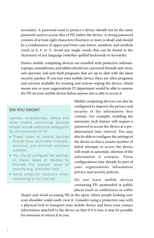accounts). A password used to protect a device should not be the same password used to access files of PII within the device. A strong password consists of at least eight characters (fourteen or more is ideal) and should be a combination of upper and lower case letters, numbers, and symbols (such as \$, #, or !). Avoid any single words that can be found in the dictionary of any language (whether spelled backwards or forwards).

Ensure mobile computing devices are installed with protective software. Laptops, smartphones, and tablets should use a personal firewall, anti-virus, anti-spyware, and anti-theft programs that are up-to-date with the latest security patches. If you lose your mobile device, there are often programs and services available for locating and remote-wiping the device, which means you or your organization's IT department would be able to remove the PII on your mobile device before anyone else is able to access it.

# **DID YOU KNOW?**

Laptops, smartphones, tablets and other mobile computing devices should include additional safeguards for the protection of PII:

- These types of mobile devices should have up-to-date firewalls, anti-virus, and anti-theft software installed.
- You should configure the settings on these types of devices to provide the highest level of security (e.g. automatic lock).
- Avoid unsecure networks when connecting to the Internet.

Mobile computing devices can also be configured to improve the privacy and security of the information they contain. For example, enabling the automatic lock feature will require a password to access the device at a predetermined time interval. You may also be able to configure the settings of the device so that a certain number of failed attempts to access the device will result in automatic deletion of the information it contains. These configurations may already be part of your organization's information privacy and security policies.

Do not leave mobile devices containing PII unattended in public places (such as conferences or coffee

shops) and avoid accessing PII in the open, where people looking over your shoulder could easily view it. Consider using a protective case with a physical lock to transport your mobile device and leave your contact information attached to the device so that if it is lost, it may be possible for someone to return it to you.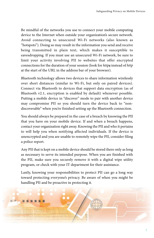Be mindful of the networks you use to connect your mobile computing device to the Internet when outside your organization's secure network. Avoid connecting to unsecured Wi-Fi networks (also known as "hotspots"). Doing so may result in the information you send and receive being transmitted in plain text, which makes it susceptible to eavesdropping. If you must use an unsecured Wi-Fi network, be sure to limit your activity involving PII to websites that offer encrypted connections for the duration of your session (look for *https* instead of *http* at the start of the URL in the address bar of your browser).

Bluetooth technology allows two devices to share information wirelessly over short distances (similar to Wi-Fi, but only on paired devices). Connect via Bluetooth to devices that support data encryption (as of Bluetooth v2.1, encryption is enabled by default) whenever possible. Putting a mobile device in "discover" mode to pair with another device may compromise PII so you should turn the device back to "nondiscoverable" when you're finished setting up the Bluetooth connection.

You should always be prepared in the case of a breach by knowing the PII that you have on your mobile device. If and when a breach happens, contact your organization right away. Knowing the PII and who it pertains to will help you when notifying affected individuals. If the device is unencrypted and you are unable to remotely wipe the PII, consider filing a police report.

Any PII that is kept on a mobile device should be stored there only as long as necessary to serve its intended purpose. When you are finished with the PII, make sure you securely remove it with a digital wipe utility program, or check with your IT department for their assistance.

Lastly, knowing your responsibilities to protect PII can go a long way toward protecting everyone's privacy. Be aware of when you might be handling PII and be proactive in protecting it.

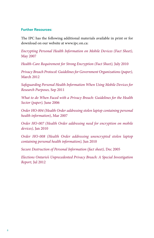#### **Further Resources:**

The IPC has the following additional materials available in print or for download on our website at www.ipc.on.ca:

*Encrypting Personal Health Information on Mobile Devices (Fact Sheet),*  May 2007

*Health-Care Requirement for Strong Encryption (Fact Sheet),* July 2010

*Privacy Breach Protocol: Guidelines for Government Organizations (paper),*  March 2012

*Safeguarding Personal Health Information When Using Mobile Devices for Research Purposes,* Sep 2011

*What to do When Faced with a Privacy Breach: Guidelines for the Health Sector (paper),* June 2006

*Order HO-004 (Health Order addressing stolen laptop containing personal health information*), Mar 2007

*Order HO-007 (Health Order addressing need for encryption on mobile devices),* Jan 2010

*Order HO-008 (Health Order addressing unencrypted stolen laptop containing personal health information),* Jun 2010

*Secure Destruction of Personal Information (fact sheet),* Dec 2005

*Elections Ontario's Unprecedented Privacy Breach: A Special Investigation Report,* Jul 2012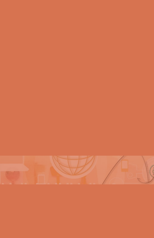